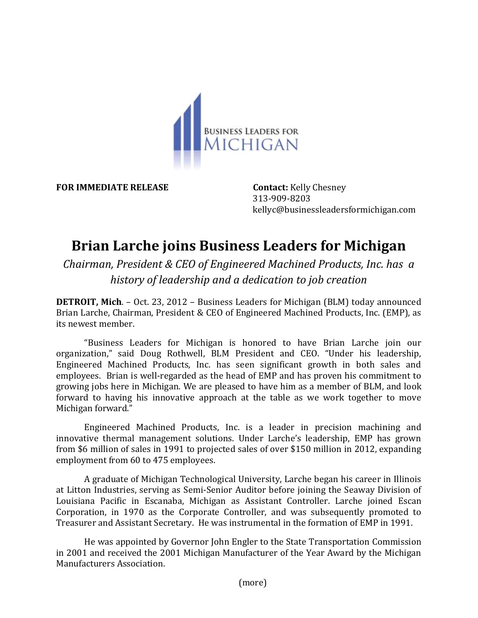

**FOR IMMEDIATE RELEASE Contact:** Kelly Chesney

313-909-8203 kellyc@businessleadersformichigan.com

## **Brian Larche joins Business Leaders for Michigan**

*Chairman, President & CEO of Engineered Machined Products, Inc. has a history of leadership and a dedication to job creation* 

**DETROIT, Mich**. – Oct. 23, 2012 – Business Leaders for Michigan (BLM) today announced Brian Larche, Chairman, President & CEO of Engineered Machined Products, Inc. (EMP), as its newest member.

"Business Leaders for Michigan is honored to have Brian Larche join our organization," said Doug Rothwell, BLM President and CEO. "Under his leadership, Engineered Machined Products, Inc. has seen significant growth in both sales and employees. Brian is well-regarded as the head of EMP and has proven his commitment to growing jobs here in Michigan. We are pleased to have him as a member of BLM, and look forward to having his innovative approach at the table as we work together to move Michigan forward."

Engineered Machined Products, Inc. is a leader in precision machining and innovative thermal management solutions. Under Larche's leadership, EMP has grown from \$6 million of sales in 1991 to projected sales of over \$150 million in 2012, expanding employment from 60 to 475 employees.

A graduate of Michigan Technological University, Larche began his career in Illinois at Litton Industries, serving as Semi-Senior Auditor before joining the Seaway Division of Louisiana Pacific in Escanaba, Michigan as Assistant Controller. Larche joined Escan Corporation, in 1970 as the Corporate Controller, and was subsequently promoted to Treasurer and Assistant Secretary. He was instrumental in the formation of EMP in 1991.

He was appointed by Governor John Engler to the State Transportation Commission in 2001 and received the 2001 Michigan Manufacturer of the Year Award by the Michigan Manufacturers Association.